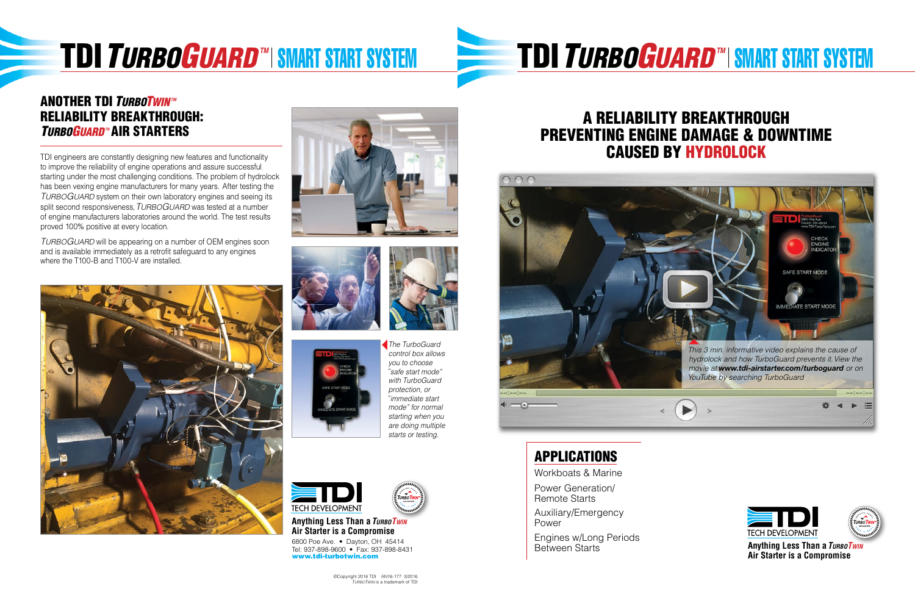# **TDI** *TURBOGUARD* **™ SMART START SYSTEM**



#### **ANOTHER TDI** *TURBOTWIN***<sup>***M***</sup>** Reliability Breakthrough: **TURBOGUARD™ AIR STARTERS**

6800 Poe Ave. • Dayton, OH 45414 Tel: 937-898-9600 • Fax: 937-898-8431 www.tdi-turbotwin.com



©Copyright 2016 TDI AN16-177 3/2016 *TURBOTWIN* is a trademark of TDI

TDI engineers are constantly designing new features and functionality to improve the reliability of engine operations and assure successful starting under the most challenging conditions. The problem of hydrolock has been vexing engine manufacturers for many years. After testing the *TurboGuard* system on their own laboratory engines and seeing its split second responsiveness,*TurboGuard* was tested at a number of engine manufacturers laboratories around the world. The test results proved 100% positive at every location.

*TurboGuard* will be appearing on a number of OEM engines soon and is available immediately as a retrofit safeguard to any engines where the T100-B and T100-V are installed.







**Anything Less Than a***TurboTwin* **Air Starter is a Compromise**

### A RELIABILITY BREAKTHROUGH PREVENTING ENGINE DAMAGE & DOWNTIME CAUSED BY HYDROLOCK





Workboats & Marine Power Generation/ Remote Starts Auxiliary/Emergency Power Engines w/Long Periods Between Starts

## **TDI** *TURBOGUARD* **™ SMART START SYSTEM**







*The TurboGuard control box allows you to choose* "safe start mode" *with TurboGuard protection, or immediate start " mode" for normal starting when you are doing multiple starts or testing.*